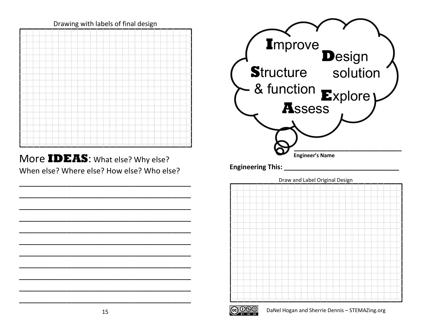

More **IDEAS**: What else? Why else? When else? Where else? How else? Who else?

\_\_\_\_\_\_\_\_\_\_\_\_\_\_\_\_\_\_\_\_\_\_\_\_\_\_\_\_\_\_\_\_\_\_\_\_

\_\_\_\_\_\_\_\_\_\_\_\_\_\_\_\_\_\_\_\_\_\_\_\_\_\_\_\_\_\_\_\_\_\_\_\_

\_\_\_\_\_\_\_\_\_\_\_\_\_\_\_\_\_\_\_\_\_\_\_\_\_\_\_\_\_\_\_\_\_\_\_\_

\_\_\_\_\_\_\_\_\_\_\_\_\_\_\_\_\_\_\_\_\_\_\_\_\_\_\_\_\_\_\_\_\_\_\_\_

\_\_\_\_\_\_\_\_\_\_\_\_\_\_\_\_\_\_\_\_\_\_\_\_\_\_\_\_\_\_\_\_\_\_\_\_

\_\_\_\_\_\_\_\_\_\_\_\_\_\_\_\_\_\_\_\_\_\_\_\_\_\_\_\_\_\_\_\_\_\_\_\_

\_\_\_\_\_\_\_\_\_\_\_\_\_\_\_\_\_\_\_\_\_\_\_\_\_\_\_\_\_\_\_\_\_\_\_\_

\_\_\_\_\_\_\_\_\_\_\_\_\_\_\_\_\_\_\_\_\_\_\_\_\_\_\_\_\_\_\_\_\_\_\_\_

\_\_\_\_\_\_\_\_\_\_\_\_\_\_\_\_\_\_\_\_\_\_\_\_\_\_\_\_\_\_\_\_\_\_\_\_

\_\_\_\_\_\_\_\_\_\_\_\_\_\_\_\_\_\_\_\_\_\_\_\_\_\_\_\_\_\_\_\_\_\_\_\_

\_\_\_\_\_\_\_\_\_\_\_\_\_\_\_\_\_\_\_\_\_\_\_\_\_\_\_\_\_\_\_\_\_\_\_\_





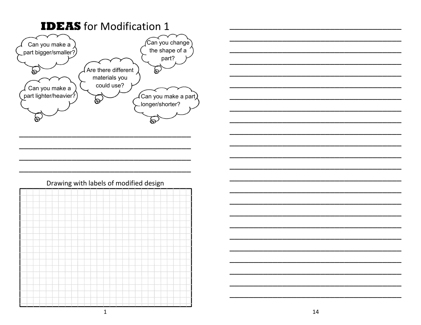

## Drawing with labels of modified design

|  |  |  |  | - | ___ |  | - 1 | - | -- | ≖ |  |  |  |  |
|--|--|--|--|---|-----|--|-----|---|----|---|--|--|--|--|
|  |  |  |  |   |     |  |     |   |    |   |  |  |  |  |
|  |  |  |  |   |     |  |     |   |    |   |  |  |  |  |
|  |  |  |  |   |     |  |     |   |    |   |  |  |  |  |
|  |  |  |  |   |     |  |     |   |    |   |  |  |  |  |
|  |  |  |  |   |     |  |     |   |    |   |  |  |  |  |
|  |  |  |  |   |     |  |     |   |    |   |  |  |  |  |
|  |  |  |  |   |     |  |     |   |    |   |  |  |  |  |
|  |  |  |  |   |     |  |     |   |    |   |  |  |  |  |
|  |  |  |  |   |     |  |     |   |    |   |  |  |  |  |
|  |  |  |  |   |     |  |     |   |    |   |  |  |  |  |
|  |  |  |  |   |     |  |     |   |    |   |  |  |  |  |
|  |  |  |  |   |     |  |     |   |    |   |  |  |  |  |
|  |  |  |  |   |     |  |     |   |    |   |  |  |  |  |
|  |  |  |  |   |     |  |     |   |    |   |  |  |  |  |
|  |  |  |  |   |     |  |     |   |    |   |  |  |  |  |
|  |  |  |  |   |     |  |     |   |    |   |  |  |  |  |
|  |  |  |  |   |     |  |     |   |    |   |  |  |  |  |
|  |  |  |  |   |     |  |     |   |    |   |  |  |  |  |
|  |  |  |  |   |     |  |     |   |    |   |  |  |  |  |

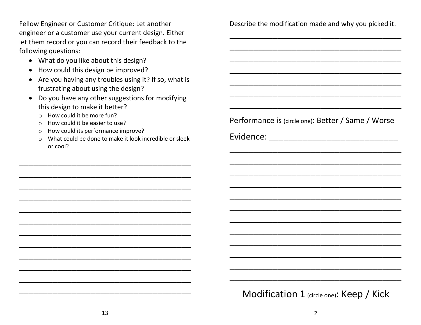Fellow Engineer or Customer Critique: Let another engineer or a customer use your current design. Either let them record or you can record their feedback to the following questions:

- What do you like about this design?
- How could this design be improved?
- Are you having any troubles using it? If so, what is frustrating about using the design?
- Do you have any other suggestions for modifying this design to make it better?
	- o How could it be more fun?
	- o How could it be easier to use?
	- o How could its performance improve?
	- o What could be done to make it look incredible or sleek or cool?

\_\_\_\_\_\_\_\_\_\_\_\_\_\_\_\_\_\_\_\_\_\_\_\_\_\_\_\_\_\_\_\_\_\_\_\_

\_\_\_\_\_\_\_\_\_\_\_\_\_\_\_\_\_\_\_\_\_\_\_\_\_\_\_\_\_\_\_\_\_\_\_\_

\_\_\_\_\_\_\_\_\_\_\_\_\_\_\_\_\_\_\_\_\_\_\_\_\_\_\_\_\_\_\_\_\_\_\_\_

\_\_\_\_\_\_\_\_\_\_\_\_\_\_\_\_\_\_\_\_\_\_\_\_\_\_\_\_\_\_\_\_\_\_\_\_

\_\_\_\_\_\_\_\_\_\_\_\_\_\_\_\_\_\_\_\_\_\_\_\_\_\_\_\_\_\_\_\_\_\_\_\_

\_\_\_\_\_\_\_\_\_\_\_\_\_\_\_\_\_\_\_\_\_\_\_\_\_\_\_\_\_\_\_\_\_\_\_\_

\_\_\_\_\_\_\_\_\_\_\_\_\_\_\_\_\_\_\_\_\_\_\_\_\_\_\_\_\_\_\_\_\_\_\_\_

\_\_\_\_\_\_\_\_\_\_\_\_\_\_\_\_\_\_\_\_\_\_\_\_\_\_\_\_\_\_\_\_\_\_\_\_

\_\_\_\_\_\_\_\_\_\_\_\_\_\_\_\_\_\_\_\_\_\_\_\_\_\_\_\_\_\_\_\_\_\_\_\_

\_\_\_\_\_\_\_\_\_\_\_\_\_\_\_\_\_\_\_\_\_\_\_\_\_\_\_\_\_\_\_\_\_\_\_\_

\_\_\_\_\_\_\_\_\_\_\_\_\_\_\_\_\_\_\_\_\_\_\_\_\_\_\_\_\_\_\_\_\_\_\_\_

\_\_\_\_\_\_\_\_\_\_\_\_\_\_\_\_\_\_\_\_\_\_\_\_\_\_\_\_\_\_\_\_\_\_\_\_

Describe the modification made and why you picked it.

\_\_\_\_\_\_\_\_\_\_\_\_\_\_\_\_\_\_\_\_\_\_\_\_\_\_\_\_\_\_\_\_\_\_\_\_

\_\_\_\_\_\_\_\_\_\_\_\_\_\_\_\_\_\_\_\_\_\_\_\_\_\_\_\_\_\_\_\_\_\_\_\_

\_\_\_\_\_\_\_\_\_\_\_\_\_\_\_\_\_\_\_\_\_\_\_\_\_\_\_\_\_\_\_\_\_\_\_\_

\_\_\_\_\_\_\_\_\_\_\_\_\_\_\_\_\_\_\_\_\_\_\_\_\_\_\_\_\_\_\_\_\_\_\_\_

\_\_\_\_\_\_\_\_\_\_\_\_\_\_\_\_\_\_\_\_\_\_\_\_\_\_\_\_\_\_\_\_\_\_\_\_

\_\_\_\_\_\_\_\_\_\_\_\_\_\_\_\_\_\_\_\_\_\_\_\_\_\_\_\_\_\_\_\_\_\_\_\_

\_\_\_\_\_\_\_\_\_\_\_\_\_\_\_\_\_\_\_\_\_\_\_\_\_\_\_\_\_\_\_\_\_\_\_\_

Performance is (circle one): Better / Same / Worse

Evidence: \_\_\_\_\_\_\_\_\_\_\_\_\_\_\_\_\_\_\_\_\_\_\_\_\_\_\_

\_\_\_\_\_\_\_\_\_\_\_\_\_\_\_\_\_\_\_\_\_\_\_\_\_\_\_\_\_\_\_\_\_\_\_\_

\_\_\_\_\_\_\_\_\_\_\_\_\_\_\_\_\_\_\_\_\_\_\_\_\_\_\_\_\_\_\_\_\_\_\_\_

\_\_\_\_\_\_\_\_\_\_\_\_\_\_\_\_\_\_\_\_\_\_\_\_\_\_\_\_\_\_\_\_\_\_\_\_

\_\_\_\_\_\_\_\_\_\_\_\_\_\_\_\_\_\_\_\_\_\_\_\_\_\_\_\_\_\_\_\_\_\_\_\_

\_\_\_\_\_\_\_\_\_\_\_\_\_\_\_\_\_\_\_\_\_\_\_\_\_\_\_\_\_\_\_\_\_\_\_\_

\_\_\_\_\_\_\_\_\_\_\_\_\_\_\_\_\_\_\_\_\_\_\_\_\_\_\_\_\_\_\_\_\_\_\_\_

\_\_\_\_\_\_\_\_\_\_\_\_\_\_\_\_\_\_\_\_\_\_\_\_\_\_\_\_\_\_\_\_\_\_\_\_

\_\_\_\_\_\_\_\_\_\_\_\_\_\_\_\_\_\_\_\_\_\_\_\_\_\_\_\_\_\_\_\_\_\_\_\_

\_\_\_\_\_\_\_\_\_\_\_\_\_\_\_\_\_\_\_\_\_\_\_\_\_\_\_\_\_\_\_\_\_\_\_\_

\_\_\_\_\_\_\_\_\_\_\_\_\_\_\_\_\_\_\_\_\_\_\_\_\_\_\_\_\_\_\_\_\_\_\_\_

\_\_\_\_\_\_\_\_\_\_\_\_\_\_\_\_\_\_\_\_\_\_\_\_\_\_\_\_\_\_\_\_\_\_\_\_

\_\_\_\_\_\_\_\_\_\_\_\_\_\_\_\_\_\_\_\_\_\_\_\_\_\_\_\_\_\_\_\_\_\_\_\_

Modification 1 (circle one): Keep / Kick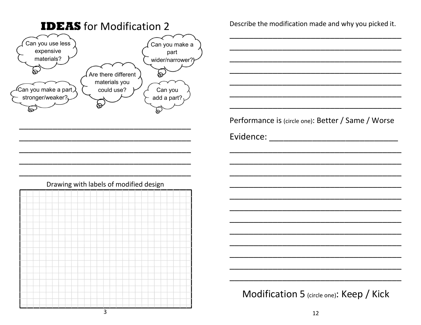

Describe the modification made and why you picked it.

Performance is (circle one): Better / Same / Worse



Modification 5 (circle one): Keep / Kick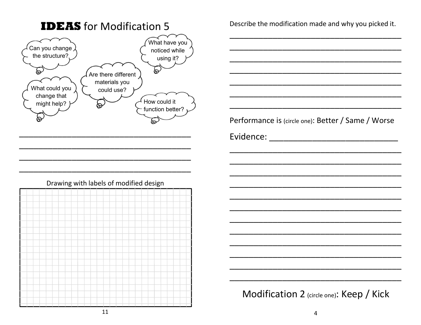

**IDEAS** for Modification 5

Describe the modification made and why you picked it.

Performance is (circle one): Better / Same / Worse

Modification 2 (circle one): Keep / Kick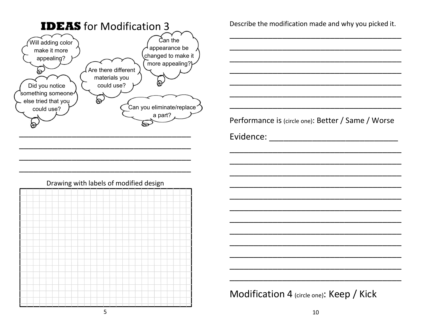

|  |  |  | ٠o |  |  |  | . |  | . |  |  |  |  |  |
|--|--|--|----|--|--|--|---|--|---|--|--|--|--|--|
|  |  |  |    |  |  |  |   |  |   |  |  |  |  |  |
|  |  |  |    |  |  |  |   |  |   |  |  |  |  |  |
|  |  |  |    |  |  |  |   |  |   |  |  |  |  |  |
|  |  |  |    |  |  |  |   |  |   |  |  |  |  |  |
|  |  |  |    |  |  |  |   |  |   |  |  |  |  |  |
|  |  |  |    |  |  |  |   |  |   |  |  |  |  |  |
|  |  |  |    |  |  |  |   |  |   |  |  |  |  |  |
|  |  |  |    |  |  |  |   |  |   |  |  |  |  |  |
|  |  |  |    |  |  |  |   |  |   |  |  |  |  |  |
|  |  |  |    |  |  |  |   |  |   |  |  |  |  |  |
|  |  |  |    |  |  |  |   |  |   |  |  |  |  |  |
|  |  |  |    |  |  |  |   |  |   |  |  |  |  |  |
|  |  |  |    |  |  |  |   |  |   |  |  |  |  |  |
|  |  |  |    |  |  |  |   |  |   |  |  |  |  |  |
|  |  |  |    |  |  |  |   |  |   |  |  |  |  |  |
|  |  |  |    |  |  |  |   |  |   |  |  |  |  |  |
|  |  |  |    |  |  |  |   |  |   |  |  |  |  |  |
|  |  |  |    |  |  |  |   |  |   |  |  |  |  |  |
|  |  |  |    |  |  |  |   |  |   |  |  |  |  |  |
|  |  |  |    |  |  |  |   |  |   |  |  |  |  |  |
|  |  |  |    |  |  |  |   |  |   |  |  |  |  |  |
|  |  |  |    |  |  |  |   |  |   |  |  |  |  |  |

Describe the modification made and why you picked it.

Performance is (circle one): Better / Same / Worse

Modification 4 (circle one): Keep / Kick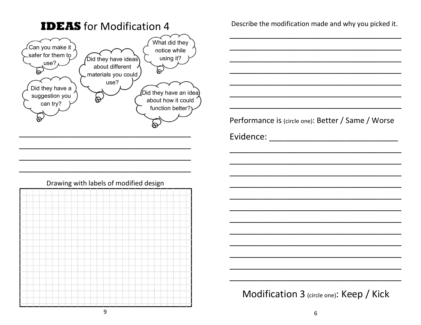

Describe the modification made and why you picked it.

Performance is (circle one): Better / Same / Worse



Modification 3 (circle one): Keep / Kick